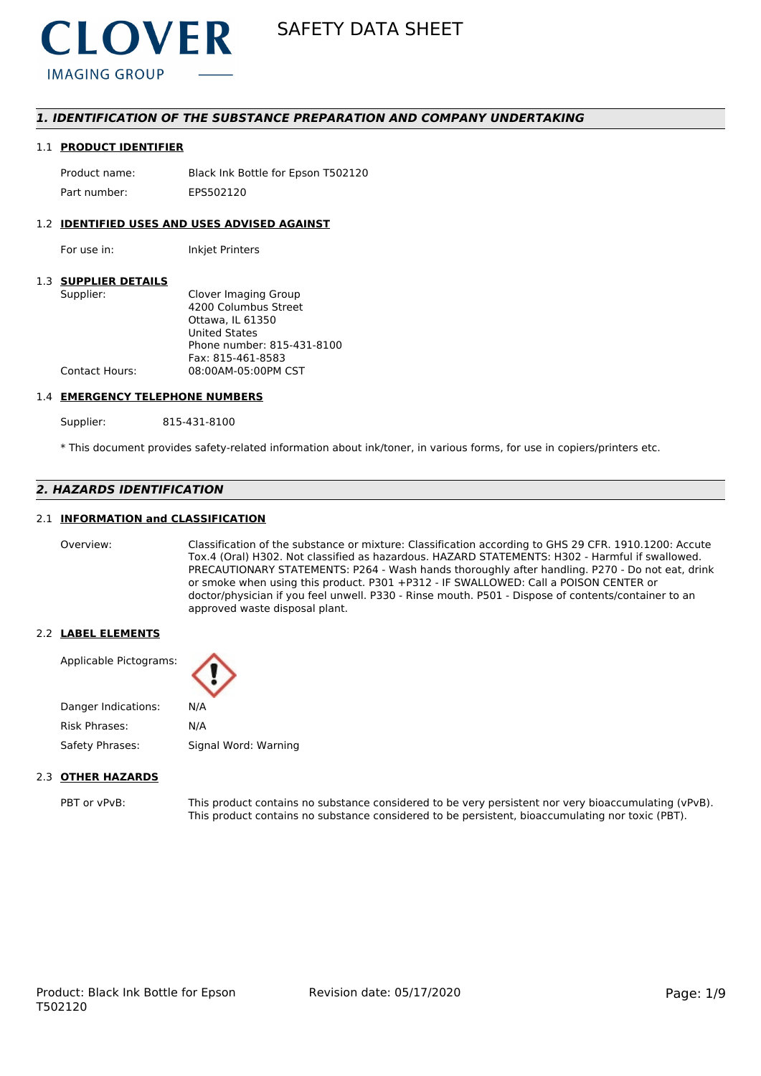

# *1. IDENTIFICATION OF THE SUBSTANCE PREPARATION AND COMPANY UNDERTAKING*

#### 1.1 **PRODUCT IDENTIFIER**

Product name: Black Ink Bottle for Epson T502120 Part number: FPS502120

#### 1.2 **IDENTIFIED USES AND USES ADVISED AGAINST**

For use in: Inkjet Printers

### 1.3 **SUPPLIER DETAILS**

| Supplier:             | Clover Imaging Group       |
|-----------------------|----------------------------|
|                       | 4200 Columbus Street       |
|                       | Ottawa. IL 61350           |
|                       | <b>United States</b>       |
|                       | Phone number: 815-431-8100 |
|                       | Fax: 815-461-8583          |
| <b>Contact Hours:</b> | 08:00AM-05:00PM CST        |
|                       |                            |

#### 1.4 **EMERGENCY TELEPHONE NUMBERS**

Supplier: 815-431-8100

\* This document provides safety-related information about ink/toner, in various forms, for use in copiers/printers etc.

# *2. HAZARDS IDENTIFICATION*

### 2.1 **INFORMATION and CLASSIFICATION**

Overview: Classification of the substance or mixture: Classification according to GHS 29 CFR. 1910.1200: Accute Tox.4 (Oral) H302. Not classified as hazardous. HAZARD STATEMENTS: H302 - Harmful if swallowed. PRECAUTIONARY STATEMENTS: P264 - Wash hands thoroughly after handling. P270 - Do not eat, drink or smoke when using this product. P301 +P312 - IF SWALLOWED: Call a POISON CENTER or doctor/physician if you feel unwell. P330 - Rinse mouth. P501 - Dispose of contents/container to an approved waste disposal plant.

#### 2.2 **LABEL ELEMENTS**

Applicable Pictograms:

| Danger Indications: | N/A                  |
|---------------------|----------------------|
| Risk Phrases:       | N/A                  |
| Safety Phrases:     | Signal Word: Warning |

#### 2.3 **OTHER HAZARDS**

PBT or vPvB: This product contains no substance considered to be very persistent nor very bioaccumulating (vPvB). This product contains no substance considered to be persistent, bioaccumulating nor toxic (PBT).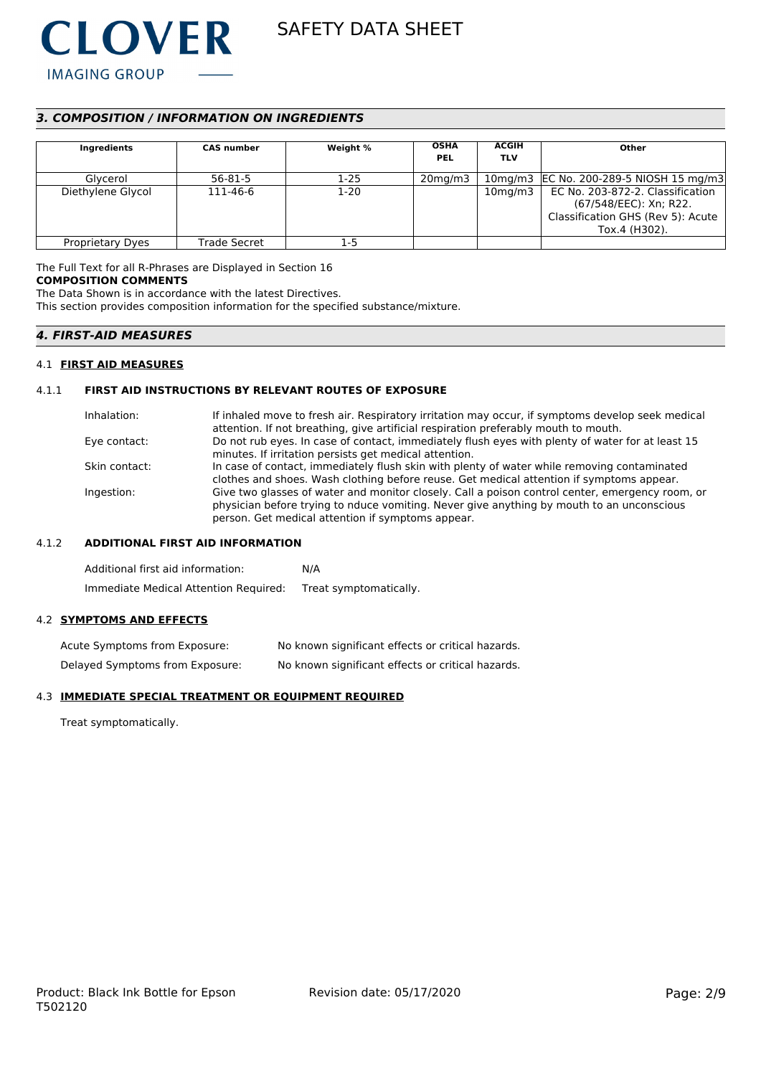

# *3. COMPOSITION / INFORMATION ON INGREDIENTS*

| Ingredients             | <b>CAS number</b> | Weight % | <b>OSHA</b><br><b>PEL</b> | <b>ACGIH</b><br><b>TLV</b> | Other                                   |
|-------------------------|-------------------|----------|---------------------------|----------------------------|-----------------------------------------|
| Glycerol                | 56-81-5           | $1-25$   | $20$ mg/m $3$             |                            | 10mg/m3 EC No. 200-289-5 NIOSH 15 mg/m3 |
| Diethylene Glycol       | 111-46-6          | $1-20$   |                           | 10 <sub>mg</sub> /m3       | EC No. 203-872-2. Classification        |
|                         |                   |          |                           |                            | (67/548/EEC): Xn; R22.                  |
|                         |                   |          |                           |                            | Classification GHS (Rev 5): Acute       |
|                         |                   |          |                           |                            | Tox.4 (H302).                           |
| <b>Proprietary Dyes</b> | Trade Secret      | 1-5      |                           |                            |                                         |

The Full Text for all R-Phrases are Displayed in Section 16 **COMPOSITION COMMENTS**

The Data Shown is in accordance with the latest Directives.

This section provides composition information for the specified substance/mixture.

## *4. FIRST-AID MEASURES*

#### 4.1 **FIRST AID MEASURES**

#### 4.1.1 **FIRST AID INSTRUCTIONS BY RELEVANT ROUTES OF EXPOSURE**

| Inhalation:   | If inhaled move to fresh air. Respiratory irritation may occur, if symptoms develop seek medical<br>attention. If not breathing, give artificial respiration preferably mouth to mouth.                                                           |
|---------------|---------------------------------------------------------------------------------------------------------------------------------------------------------------------------------------------------------------------------------------------------|
| Eye contact:  | Do not rub eyes. In case of contact, immediately flush eyes with plenty of water for at least 15<br>minutes. If irritation persists get medical attention.                                                                                        |
| Skin contact: | In case of contact, immediately flush skin with plenty of water while removing contaminated<br>clothes and shoes. Wash clothing before reuse. Get medical attention if symptoms appear.                                                           |
| Ingestion:    | Give two glasses of water and monitor closely. Call a poison control center, emergency room, or<br>physician before trying to nduce vomiting. Never give anything by mouth to an unconscious<br>person. Get medical attention if symptoms appear. |

# 4.1.2 **ADDITIONAL FIRST AID INFORMATION**

Additional first aid information: N/A Immediate Medical Attention Required: Treat symptomatically.

#### 4.2 **SYMPTOMS AND EFFECTS**

Acute Symptoms from Exposure: No known significant effects or critical hazards. Delayed Symptoms from Exposure: No known significant effects or critical hazards.

# 4.3 **IMMEDIATE SPECIAL TREATMENT OR EQUIPMENT REQUIRED**

Treat symptomatically.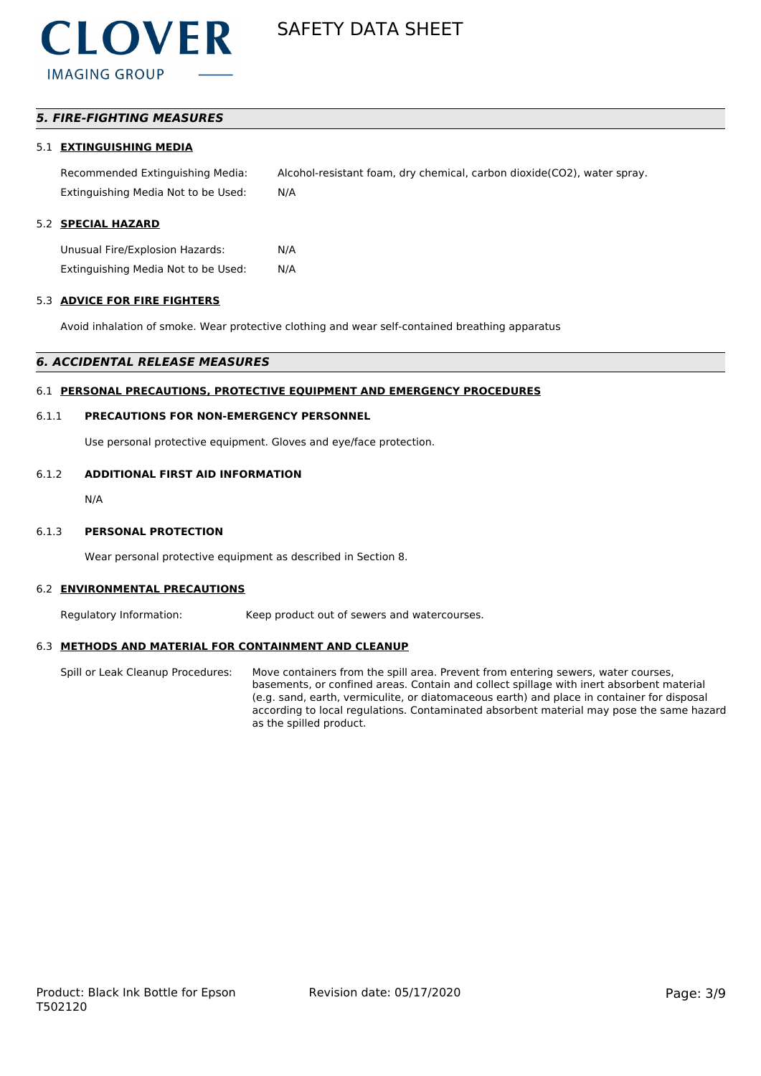# *5. FIRE-FIGHTING MEASURES*

#### 5.1 **EXTINGUISHING MEDIA**

Recommended Extinguishing Media: Alcohol-resistant foam, dry chemical, carbon dioxide(CO2), water spray. Extinguishing Media Not to be Used: N/A

#### 5.2 **SPECIAL HAZARD**

Unusual Fire/Explosion Hazards: N/A Extinguishing Media Not to be Used: N/A

#### 5.3 **ADVICE FOR FIRE FIGHTERS**

Avoid inhalation of smoke. Wear protective clothing and wear self-contained breathing apparatus

#### *6. ACCIDENTAL RELEASE MEASURES*

#### 6.1 **PERSONAL PRECAUTIONS, PROTECTIVE EQUIPMENT AND EMERGENCY PROCEDURES**

### 6.1.1 **PRECAUTIONS FOR NON-EMERGENCY PERSONNEL**

Use personal protective equipment. Gloves and eye/face protection.

### 6.1.2 **ADDITIONAL FIRST AID INFORMATION**

N/A

#### 6.1.3 **PERSONAL PROTECTION**

Wear personal protective equipment as described in Section 8.

# 6.2 **ENVIRONMENTAL PRECAUTIONS**

Regulatory Information: Keep product out of sewers and watercourses.

#### 6.3 **METHODS AND MATERIAL FOR CONTAINMENT AND CLEANUP**

Spill or Leak Cleanup Procedures: Move containers from the spill area. Prevent from entering sewers, water courses, basements, or confined areas. Contain and collect spillage with inert absorbent material (e.g. sand, earth, vermiculite, or diatomaceous earth) and place in container for disposal according to local regulations. Contaminated absorbent material may pose the same hazard as the spilled product.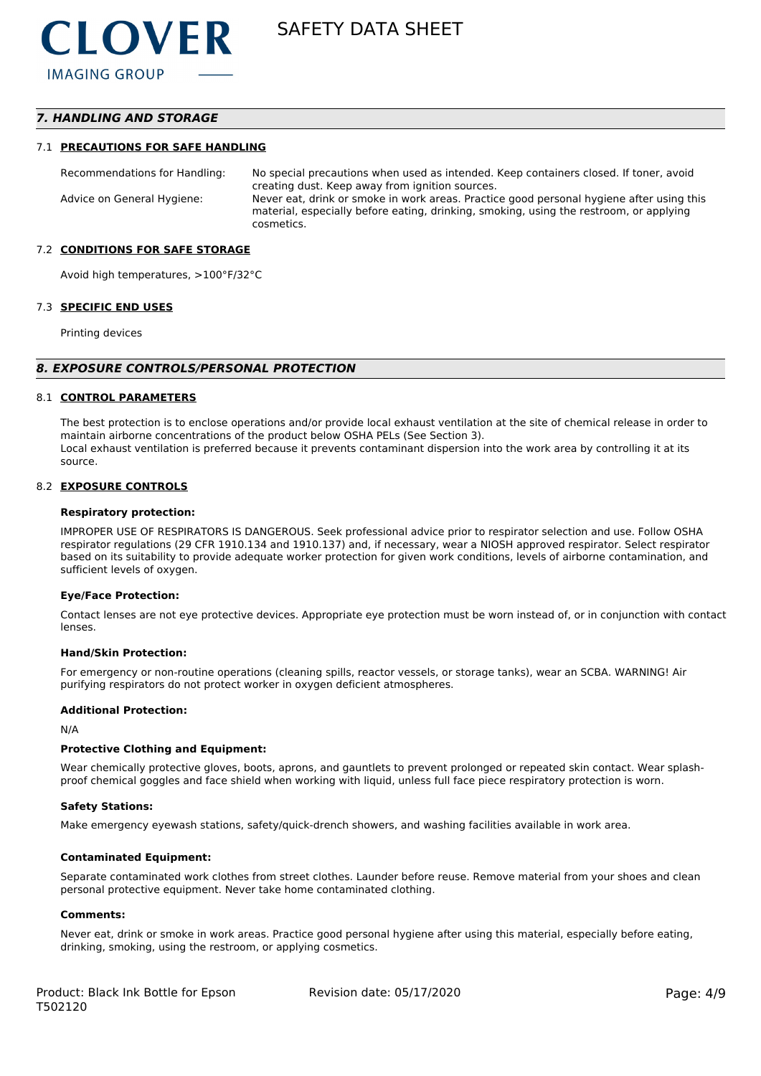# *7. HANDLING AND STORAGE*

#### 7.1 **PRECAUTIONS FOR SAFE HANDLING**

Recommendations for Handling: No special precautions when used as intended. Keep containers closed. If toner, avoid creating dust. Keep away from ignition sources. Advice on General Hygiene: Never eat, drink or smoke in work areas. Practice good personal hygiene after using this material, especially before eating, drinking, smoking, using the restroom, or applying cosmetics.

#### 7.2 **CONDITIONS FOR SAFE STORAGE**

Avoid high temperatures, >100°F/32°C

#### 7.3 **SPECIFIC END USES**

Printing devices

#### *8. EXPOSURE CONTROLS/PERSONAL PROTECTION*

#### 8.1 **CONTROL PARAMETERS**

The best protection is to enclose operations and/or provide local exhaust ventilation at the site of chemical release in order to maintain airborne concentrations of the product below OSHA PELs (See Section 3). Local exhaust ventilation is preferred because it prevents contaminant dispersion into the work area by controlling it at its source.

#### 8.2 **EXPOSURE CONTROLS**

#### **Respiratory protection:**

IMPROPER USE OF RESPIRATORS IS DANGEROUS. Seek professional advice prior to respirator selection and use. Follow OSHA respirator regulations (29 CFR 1910.134 and 1910.137) and, if necessary, wear a NIOSH approved respirator. Select respirator based on its suitability to provide adequate worker protection for given work conditions, levels of airborne contamination, and sufficient levels of oxygen.

#### **Eye/Face Protection:**

Contact lenses are not eye protective devices. Appropriate eye protection must be worn instead of, or in conjunction with contact lenses.

#### **Hand/Skin Protection:**

For emergency or non-routine operations (cleaning spills, reactor vessels, or storage tanks), wear an SCBA. WARNING! Air purifying respirators do not protect worker in oxygen deficient atmospheres.

#### **Additional Protection:**

N/A

#### **Protective Clothing and Equipment:**

Wear chemically protective gloves, boots, aprons, and gauntlets to prevent prolonged or repeated skin contact. Wear splashproof chemical goggles and face shield when working with liquid, unless full face piece respiratory protection is worn.

#### **Safety Stations:**

Make emergency eyewash stations, safety/quick-drench showers, and washing facilities available in work area.

#### **Contaminated Equipment:**

Separate contaminated work clothes from street clothes. Launder before reuse. Remove material from your shoes and clean personal protective equipment. Never take home contaminated clothing.

#### **Comments:**

Never eat, drink or smoke in work areas. Practice good personal hygiene after using this material, especially before eating, drinking, smoking, using the restroom, or applying cosmetics.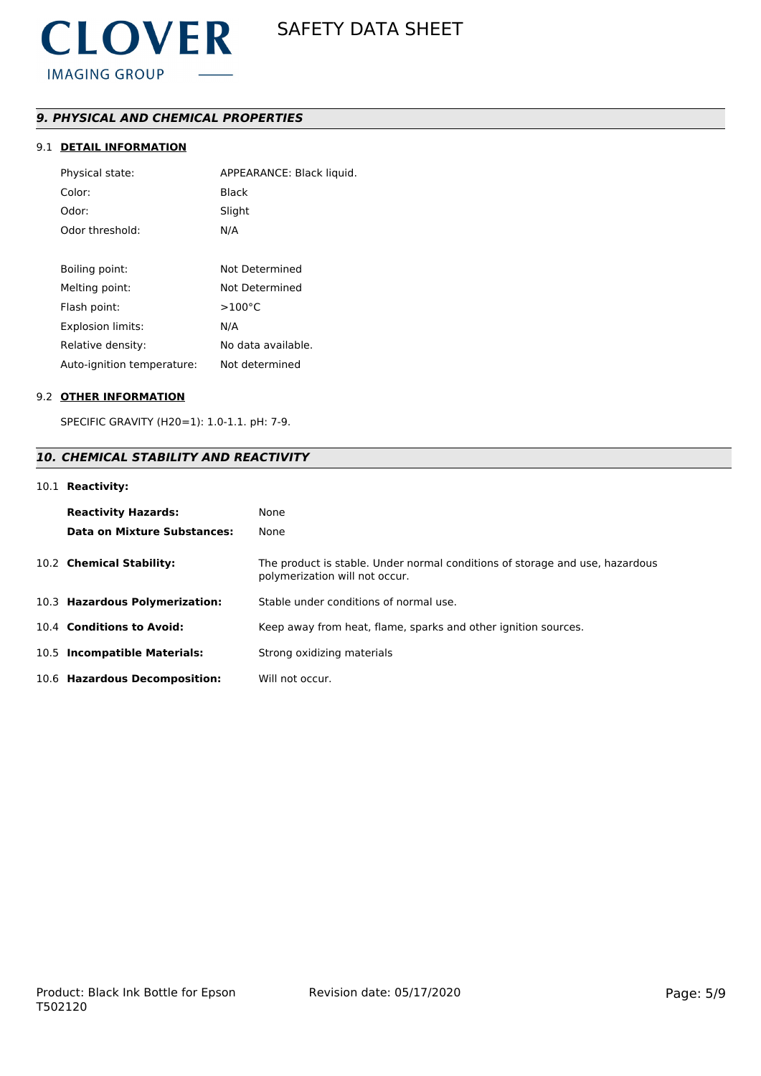# *9. PHYSICAL AND CHEMICAL PROPERTIES*

# 9.1 **DETAIL INFORMATION**

| Physical state:            | APPEARANCE: Black liquid. |
|----------------------------|---------------------------|
| Color:                     | Black                     |
| Odor:                      | Slight                    |
| Odor threshold:            | N/A                       |
|                            |                           |
| Boiling point:             | Not Determined            |
| Melting point:             | Not Determined            |
| Flash point:               | $>100^{\circ}$ C          |
| Explosion limits:          | N/A                       |
| Relative density:          | No data available.        |
| Auto-ignition temperature: | Not determined            |

#### 9.2 **OTHER INFORMATION**

SPECIFIC GRAVITY (H20=1): 1.0-1.1. pH: 7-9.

# *10. CHEMICAL STABILITY AND REACTIVITY*

### 10.1 **Reactivity:**

| <b>Reactivity Hazards:</b><br>Data on Mixture Substances: | None<br>None                                                                                                   |
|-----------------------------------------------------------|----------------------------------------------------------------------------------------------------------------|
| 10.2 Chemical Stability:                                  | The product is stable. Under normal conditions of storage and use, hazardous<br>polymerization will not occur. |
| 10.3 Hazardous Polymerization:                            | Stable under conditions of normal use.                                                                         |
| 10.4 Conditions to Avoid:                                 | Keep away from heat, flame, sparks and other ignition sources.                                                 |
| 10.5 Incompatible Materials:                              | Strong oxidizing materials                                                                                     |
| 10.6 Hazardous Decomposition:                             | Will not occur.                                                                                                |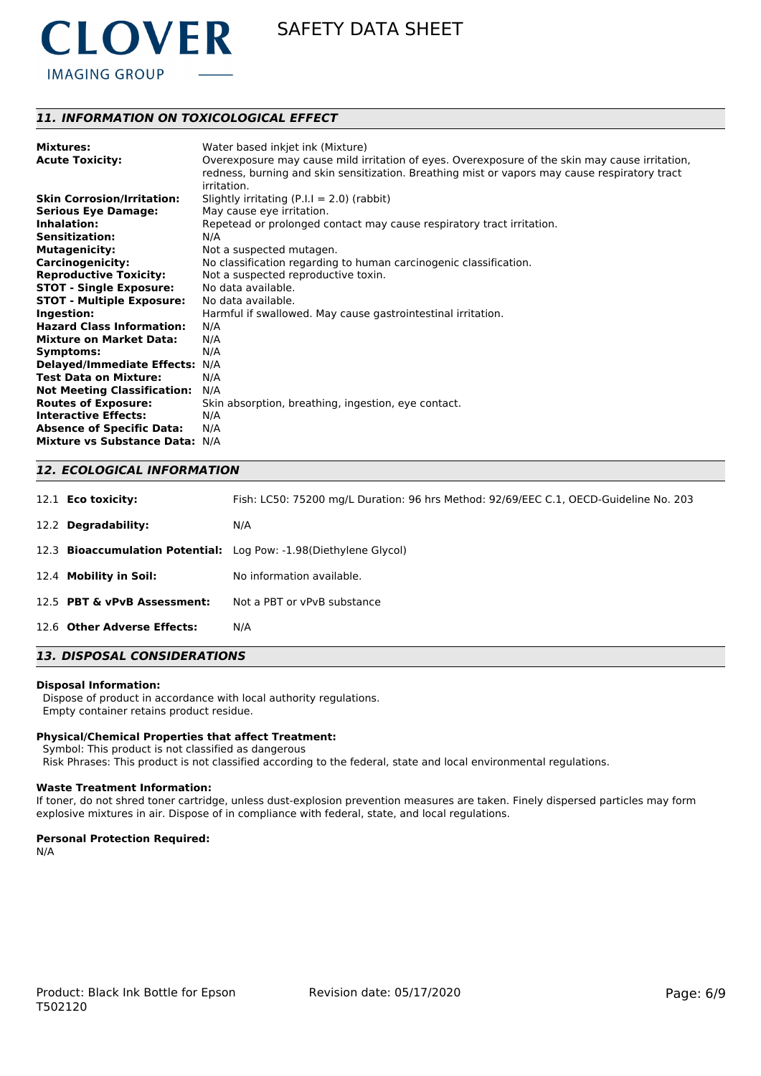

# *11. INFORMATION ON TOXICOLOGICAL EFFECT*

| <b>Mixtures:</b>                   | Water based inkjet ink (Mixture)                                                               |
|------------------------------------|------------------------------------------------------------------------------------------------|
| <b>Acute Toxicity:</b>             | Overexposure may cause mild irritation of eyes. Overexposure of the skin may cause irritation, |
|                                    | redness, burning and skin sensitization. Breathing mist or vapors may cause respiratory tract  |
|                                    | irritation.                                                                                    |
| <b>Skin Corrosion/Irritation:</b>  | Slightly irritating $(P.I.I = 2.0)$ (rabbit)                                                   |
| <b>Serious Eye Damage:</b>         | May cause eye irritation.                                                                      |
| Inhalation:                        | Repetead or prolonged contact may cause respiratory tract irritation.                          |
| <b>Sensitization:</b>              | N/A                                                                                            |
| <b>Mutagenicity:</b>               | Not a suspected mutagen.                                                                       |
| <b>Carcinogenicity:</b>            | No classification regarding to human carcinogenic classification.                              |
| <b>Reproductive Toxicity:</b>      | Not a suspected reproductive toxin.                                                            |
| <b>STOT - Single Exposure:</b>     | No data available.                                                                             |
| <b>STOT - Multiple Exposure:</b>   | No data available.                                                                             |
| Ingestion:                         | Harmful if swallowed. May cause gastrointestinal irritation.                                   |
| <b>Hazard Class Information:</b>   | N/A                                                                                            |
| <b>Mixture on Market Data:</b>     | N/A                                                                                            |
| Symptoms:                          | N/A                                                                                            |
| Delayed/Immediate Effects: N/A     |                                                                                                |
| <b>Test Data on Mixture:</b>       | N/A                                                                                            |
| <b>Not Meeting Classification:</b> | N/A                                                                                            |
| <b>Routes of Exposure:</b>         | Skin absorption, breathing, ingestion, eye contact.                                            |
| <b>Interactive Effects:</b>        | N/A                                                                                            |
| <b>Absence of Specific Data:</b>   | N/A                                                                                            |
| Mixture vs Substance Data: N/A     |                                                                                                |

### *12. ECOLOGICAL INFORMATION*

| 12.1 <b>Eco toxicity:</b>   | Fish: LC50: 75200 mg/L Duration: 96 hrs Method: 92/69/EEC C.1, OECD-Guideline No. 203 |
|-----------------------------|---------------------------------------------------------------------------------------|
| 12.2 Degradability:         | N/A                                                                                   |
|                             | 12.3 Bioaccumulation Potential: Log Pow: -1.98 (Diethylene Glycol)                    |
| 12.4 Mobility in Soil:      | No information available.                                                             |
| 12.5 PBT & vPvB Assessment: | Not a PBT or vPvB substance                                                           |
| 12.6 Other Adverse Effects: | N/A                                                                                   |

# *13. DISPOSAL CONSIDERATIONS*

#### **Disposal Information:**

 Dispose of product in accordance with local authority regulations. Empty container retains product residue.

#### **Physical/Chemical Properties that affect Treatment:**

Symbol: This product is not classified as dangerous

Risk Phrases: This product is not classified according to the federal, state and local environmental regulations.

#### **Waste Treatment Information:**

If toner, do not shred toner cartridge, unless dust-explosion prevention measures are taken. Finely dispersed particles may form explosive mixtures in air. Dispose of in compliance with federal, state, and local regulations.

#### **Personal Protection Required:**

N/A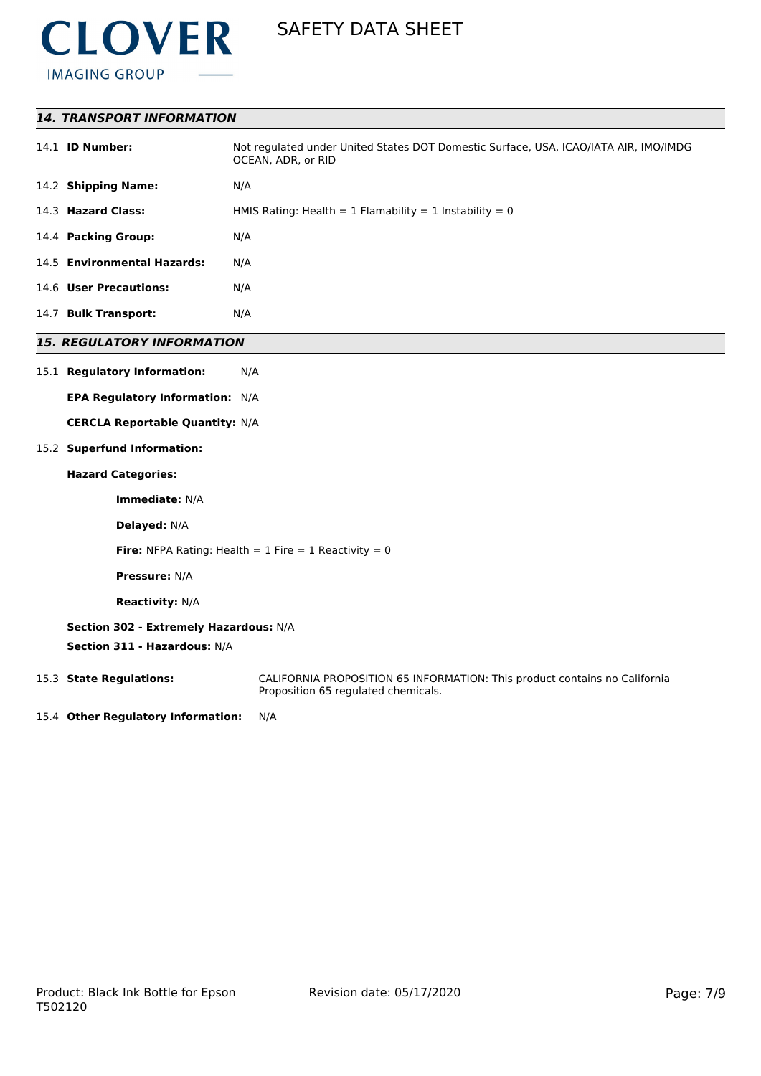

|--|

| 14.1 <b>ID Number:</b>      | Not regulated under United States DOT Domestic Surface, USA, ICAO/IATA AIR, IMO/IMDG<br>OCEAN, ADR, or RID |
|-----------------------------|------------------------------------------------------------------------------------------------------------|
| 14.2 Shipping Name:         | N/A                                                                                                        |
| 14.3 Hazard Class:          | HMIS Rating: Health = 1 Flamability = 1 Instability = 0                                                    |
| 14.4 Packing Group:         | N/A                                                                                                        |
| 14.5 Environmental Hazards: | N/A                                                                                                        |
| 14.6 User Precautions:      | N/A                                                                                                        |
| 14.7 Bulk Transport:        | N/A                                                                                                        |

# *15. REGULATORY INFORMATION*

### 15.1 **Regulatory Information:** N/A

**EPA Regulatory Information:** N/A

**CERCLA Reportable Quantity:** N/A

# 15.2 **Superfund Information:**

# **Hazard Categories:**

**Immediate:** N/A

**Delayed:** N/A

**Fire:** NFPA Rating: Health  $= 1$  Fire  $= 1$  Reactivity  $= 0$ 

**Pressure:** N/A

**Reactivity:** N/A

# **Section 302 - Extremely Hazardous:** N/A

**Section 311 - Hazardous:** N/A

15.3 **State Regulations:** CALIFORNIA PROPOSITION 65 INFORMATION: This product contains no California Proposition 65 regulated chemicals.

15.4 **Other Regulatory Information:** N/A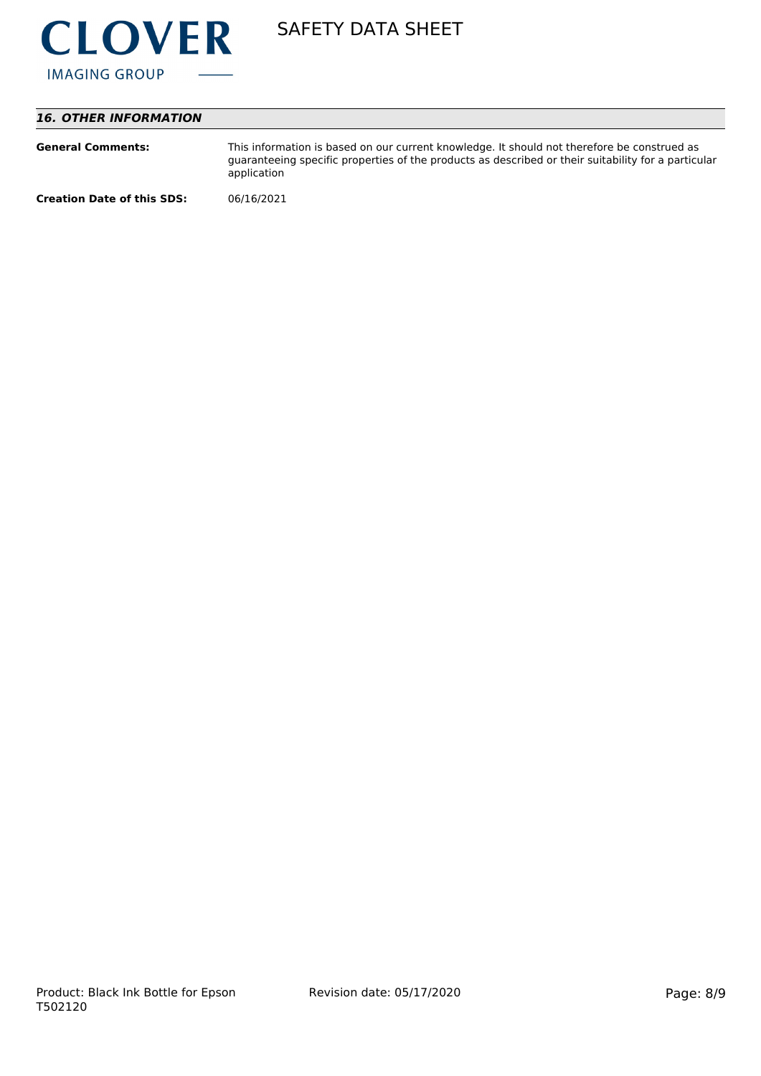

# *16. OTHER INFORMATION*

| <b>General Comments:</b>          | This information is based on our current knowledge. It should not therefore be construed as<br>guaranteeing specific properties of the products as described or their suitability for a particular<br>application |
|-----------------------------------|-------------------------------------------------------------------------------------------------------------------------------------------------------------------------------------------------------------------|
| <b>Creation Date of this SDS:</b> | 06/16/2021                                                                                                                                                                                                        |